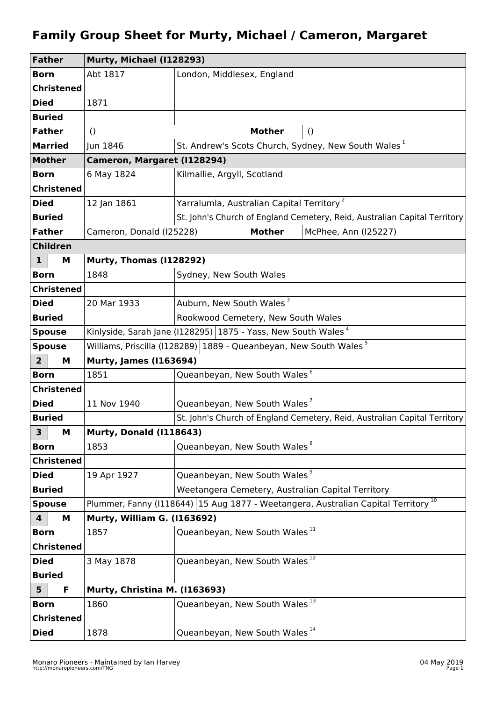## **Family Group Sheet for Murty, Michael / Cameron, Margaret**

| <b>Father</b>                | Murty, Michael (I128293)                                                                        |                                                                               |                         |                                                                           |  |
|------------------------------|-------------------------------------------------------------------------------------------------|-------------------------------------------------------------------------------|-------------------------|---------------------------------------------------------------------------|--|
| <b>Born</b>                  | Abt 1817                                                                                        | London, Middlesex, England                                                    |                         |                                                                           |  |
| <b>Christened</b>            |                                                                                                 |                                                                               |                         |                                                                           |  |
| <b>Died</b>                  | 1871                                                                                            |                                                                               |                         |                                                                           |  |
| <b>Buried</b>                |                                                                                                 |                                                                               |                         |                                                                           |  |
| <b>Father</b>                | $\left( \right)$                                                                                |                                                                               | <b>Mother</b>           | $\left( \right)$                                                          |  |
| <b>Married</b>               | Jun 1846                                                                                        |                                                                               |                         | St. Andrew's Scots Church, Sydney, New South Wales <sup>1</sup>           |  |
| <b>Mother</b>                | Cameron, Margaret (1128294)                                                                     |                                                                               |                         |                                                                           |  |
| <b>Born</b>                  | 6 May 1824                                                                                      | Kilmallie, Argyll, Scotland                                                   |                         |                                                                           |  |
| <b>Christened</b>            |                                                                                                 |                                                                               |                         |                                                                           |  |
| <b>Died</b>                  | 12 Jan 1861                                                                                     | Yarralumla, Australian Capital Territory <sup>2</sup>                         |                         |                                                                           |  |
| <b>Buried</b>                |                                                                                                 | St. John's Church of England Cemetery, Reid, Australian Capital Territory     |                         |                                                                           |  |
| <b>Father</b>                | Cameron, Donald (I25228)                                                                        |                                                                               | <b>Mother</b>           | McPhee, Ann (I25227)                                                      |  |
| <b>Children</b>              |                                                                                                 |                                                                               |                         |                                                                           |  |
| $\mathbf{1}$<br>М            |                                                                                                 | <b>Murty, Thomas (I128292)</b>                                                |                         |                                                                           |  |
| <b>Born</b>                  | 1848                                                                                            |                                                                               | Sydney, New South Wales |                                                                           |  |
| <b>Christened</b>            |                                                                                                 |                                                                               |                         |                                                                           |  |
| <b>Died</b>                  | 20 Mar 1933                                                                                     | Auburn, New South Wales <sup>3</sup>                                          |                         |                                                                           |  |
| <b>Buried</b>                |                                                                                                 | Rookwood Cemetery, New South Wales                                            |                         |                                                                           |  |
| <b>Spouse</b>                | Kinlyside, Sarah Jane (I128295) 1875 - Yass, New South Wales <sup>4</sup>                       |                                                                               |                         |                                                                           |  |
| <b>Spouse</b>                |                                                                                                 | Williams, Priscilla (I128289) 1889 - Queanbeyan, New South Wales <sup>5</sup> |                         |                                                                           |  |
| $\overline{2}$<br>М          | <b>Murty, James (1163694)</b>                                                                   |                                                                               |                         |                                                                           |  |
| <b>Born</b>                  | 1851                                                                                            | Queanbeyan, New South Wales <sup>6</sup>                                      |                         |                                                                           |  |
| <b>Christened</b>            |                                                                                                 |                                                                               |                         |                                                                           |  |
| <b>Died</b>                  | 11 Nov 1940                                                                                     | Queanbeyan, New South Wales <sup>7</sup>                                      |                         |                                                                           |  |
| <b>Buried</b>                |                                                                                                 |                                                                               |                         | St. John's Church of England Cemetery, Reid, Australian Capital Territory |  |
| 3<br>M                       | <b>Murty, Donald (I118643)</b>                                                                  |                                                                               |                         |                                                                           |  |
| <b>Born</b>                  | 1853                                                                                            | Queanbeyan, New South Wales <sup>8</sup>                                      |                         |                                                                           |  |
| <b>Christened</b>            |                                                                                                 |                                                                               |                         |                                                                           |  |
| <b>Died</b>                  | 19 Apr 1927                                                                                     | Queanbeyan, New South Wales <sup>9</sup>                                      |                         |                                                                           |  |
| <b>Buried</b>                |                                                                                                 | Weetangera Cemetery, Australian Capital Territory                             |                         |                                                                           |  |
| <b>Spouse</b>                | Plummer, Fanny (1118644)   15 Aug 1877 - Weetangera, Australian Capital Territory <sup>10</sup> |                                                                               |                         |                                                                           |  |
| $\overline{\mathbf{4}}$<br>м | Murty, William G. (1163692)                                                                     | Queanbeyan, New South Wales <sup>11</sup>                                     |                         |                                                                           |  |
| <b>Born</b>                  | 1857                                                                                            |                                                                               |                         |                                                                           |  |
| <b>Christened</b>            |                                                                                                 |                                                                               |                         |                                                                           |  |
| <b>Died</b>                  | 3 May 1878                                                                                      | Queanbeyan, New South Wales <sup>12</sup>                                     |                         |                                                                           |  |
| <b>Buried</b>                |                                                                                                 |                                                                               |                         |                                                                           |  |
| $5\phantom{1}$<br>F          | Murty, Christina M. (I163693)                                                                   | Queanbeyan, New South Wales <sup>13</sup>                                     |                         |                                                                           |  |
| <b>Born</b>                  | 1860                                                                                            |                                                                               |                         |                                                                           |  |
| <b>Christened</b>            |                                                                                                 |                                                                               |                         |                                                                           |  |
| <b>Died</b>                  | 1878                                                                                            | Queanbeyan, New South Wales <sup>14</sup>                                     |                         |                                                                           |  |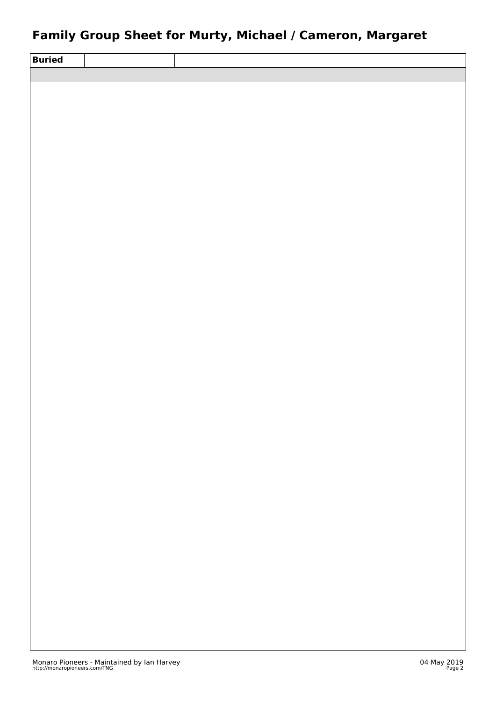## **Family Group Sheet for Murty, Michael / Cameron, Margaret**

| <b>Buried</b> |  |
|---------------|--|
|               |  |
|               |  |
|               |  |
|               |  |
|               |  |
|               |  |
|               |  |
|               |  |
|               |  |
|               |  |
|               |  |
|               |  |
|               |  |
|               |  |
|               |  |
|               |  |
|               |  |
|               |  |
|               |  |
|               |  |
|               |  |
|               |  |
|               |  |
|               |  |
|               |  |
|               |  |
|               |  |
|               |  |
|               |  |
|               |  |
|               |  |
|               |  |
|               |  |